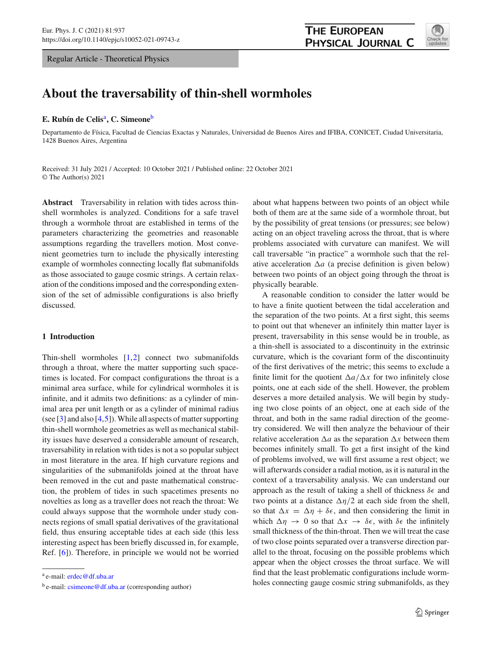Regular Article - Theoretical Physics



# **About the traversability of thin-shell wormholes**

### **E. Rubín de Celis**a**, C. Simeone**<sup>b</sup>

Departamento de Física, Facultad de Ciencias Exactas y Naturales, Universidad de Buenos Aires and IFIBA, CONICET, Ciudad Universitaria, 1428 Buenos Aires, Argentina

Received: 31 July 2021 / Accepted: 10 October 2021 / Published online: 22 October 2021 © The Author(s) 2021

**Abstract** Traversability in relation with tides across thinshell wormholes is analyzed. Conditions for a safe travel through a wormhole throat are established in terms of the parameters characterizing the geometries and reasonable assumptions regarding the travellers motion. Most convenient geometries turn to include the physically interesting example of wormholes connecting locally flat submanifolds as those associated to gauge cosmic strings. A certain relaxation of the conditions imposed and the corresponding extension of the set of admissible configurations is also briefly discussed.

## **1 Introduction**

Thin-shell wormholes  $[1,2]$  $[1,2]$  $[1,2]$  connect two submanifolds through a throat, where the matter supporting such spacetimes is located. For compact configurations the throat is a minimal area surface, while for cylindrical wormholes it is infinite, and it admits two definitions: as a cylinder of minimal area per unit length or as a cylinder of minimal radius (see  $\lceil 3 \rceil$  and also  $\lceil 4, 5 \rceil$ ). While all aspects of matter supporting thin-shell wormhole geometries as well as mechanical stability issues have deserved a considerable amount of research, traversability in relation with tides is not a so popular subject in most literature in the area. If high curvature regions and singularities of the submanifolds joined at the throat have been removed in the cut and paste mathematical construction, the problem of tides in such spacetimes presents no novelties as long as a traveller does not reach the throat: We could always suppose that the wormhole under study connects regions of small spatial derivatives of the gravitational field, thus ensuring acceptable tides at each side (this less interesting aspect has been briefly discussed in, for example, Ref. [\[6](#page-6-5)]). Therefore, in principle we would not be worried about what happens between two points of an object while both of them are at the same side of a wormhole throat, but by the possibility of great tensions (or pressures; see below) acting on an object traveling across the throat, that is where problems associated with curvature can manifest. We will call traversable "in practice" a wormhole such that the relative acceleration  $\Delta a$  (a precise definition is given below) between two points of an object going through the throat is physically bearable.

A reasonable condition to consider the latter would be to have a finite quotient between the tidal acceleration and the separation of the two points. At a first sight, this seems to point out that whenever an infinitely thin matter layer is present, traversability in this sense would be in trouble, as a thin-shell is associated to a discontinuity in the extrinsic curvature, which is the covariant form of the discontinuity of the first derivatives of the metric; this seems to exclude a finite limit for the quotient  $\Delta a/\Delta x$  for two infinitely close points, one at each side of the shell. However, the problem deserves a more detailed analysis. We will begin by studying two close points of an object, one at each side of the throat, and both in the same radial direction of the geometry considered. We will then analyze the behaviour of their relative acceleration  $\Delta a$  as the separation  $\Delta x$  between them becomes infinitely small. To get a first insight of the kind of problems involved, we will first assume a rest object; we will afterwards consider a radial motion, as it is natural in the context of a traversability analysis. We can understand our approach as the result of taking a shell of thickness  $\delta \epsilon$  and two points at a distance  $\Delta \eta/2$  at each side from the shell, so that  $\Delta x = \Delta \eta + \delta \epsilon$ , and then considering the limit in which  $\Delta \eta \rightarrow 0$  so that  $\Delta x \rightarrow \delta \epsilon$ , with  $\delta \epsilon$  the infinitely small thickness of the thin-throat. Then we will treat the case of two close points separated over a transverse direction parallel to the throat, focusing on the possible problems which appear when the object crosses the throat surface. We will find that the least problematic configurations include wormholes connecting gauge cosmic string submanifolds, as they

<sup>a</sup> e-mail: [erdec@df.uba.ar](mailto:erdec@df.uba.ar)

 $b$  e-mail: [csimeone@df.uba.ar](mailto:csimeone@df.uba.ar) (corresponding author)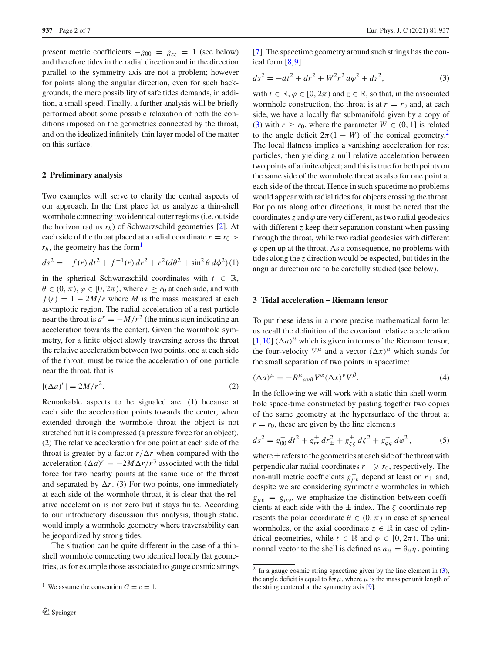present metric coefficients  $-g_{00} = g_{zz} = 1$  (see below) and therefore tides in the radial direction and in the direction parallel to the symmetry axis are not a problem; however for points along the angular direction, even for such backgrounds, the mere possibility of safe tides demands, in addition, a small speed. Finally, a further analysis will be briefly performed about some possible relaxation of both the conditions imposed on the geometries connected by the throat, and on the idealized infinitely-thin layer model of the matter on this surface.

#### **2 Preliminary analysis**

Two examples will serve to clarify the central aspects of our approach. In the first place let us analyze a thin-shell wormhole connecting two identical outer regions (i.e. outside the horizon radius  $r_h$ ) of Schwarzschild geometries  $[2]$  $[2]$ . At each side of the throat placed at a radial coordinate  $r = r_0$  $r_h$ , the geometry has the form<sup>1</sup>

$$
ds^{2} = -f(r) dt^{2} + f^{-1}(r) dr^{2} + r^{2} (d\theta^{2} + \sin^{2} \theta d\phi^{2})(1)
$$

in the spherical Schwarzschild coordinates with  $t \in \mathbb{R}$ ,  $\theta \in (0, \pi), \varphi \in [0, 2\pi),$  where  $r > r_0$  at each side, and with  $f(r) = 1 - 2M/r$  where *M* is the mass measured at each asymptotic region. The radial acceleration of a rest particle near the throat is  $a^r = -M/r^2$  (the minus sign indicating an acceleration towards the center). Given the wormhole symmetry, for a finite object slowly traversing across the throat the relative acceleration between two points, one at each side of the throat, must be twice the acceleration of one particle near the throat, that is

$$
|(\Delta a)^r| = 2M/r^2.
$$
 (2)

Remarkable aspects to be signaled are: (1) because at each side the acceleration points towards the center, when extended through the wormhole throat the object is not stretched but it is compressed (a pressure force for an object). (2) The relative acceleration for one point at each side of the throat is greater by a factor  $r/\Delta r$  when compared with the acceleration  $(\Delta a)^r = -2M\Delta r/r^3$  associated with the tidal force for two nearby points at the same side of the throat and separated by  $\Delta r$ . (3) For two points, one immediately at each side of the wormhole throat, it is clear that the relative acceleration is not zero but it stays finite. According to our introductory discussion this analysis, though static, would imply a wormhole geometry where traversability can be jeopardized by strong tides.

The situation can be quite different in the case of a thinshell wormhole connecting two identical locally flat geometries, as for example those associated to gauge cosmic strings [\[7](#page-6-6)]. The spacetime geometry around such strings has the conical form [\[8](#page-6-7)[,9](#page-6-8)]

<span id="page-1-1"></span>
$$
ds^{2} = -dt^{2} + dr^{2} + W^{2}r^{2} d\varphi^{2} + dz^{2},
$$
\t(3)

with  $t \in \mathbb{R}, \varphi \in [0, 2\pi)$  and  $z \in \mathbb{R}$ , so that, in the associated wormhole construction, the throat is at  $r = r_0$  and, at each side, we have a locally flat submanifold given by a copy of [\(3\)](#page-1-1) with  $r \ge r_0$ , where the parameter  $W \in (0, 1]$  is related to the angle deficit  $2\pi(1 - W)$  of the conical geometry.<sup>2</sup> The local flatness implies a vanishing acceleration for rest particles, then yielding a null relative acceleration between two points of a finite object; and this is true for both points on the same side of the wormhole throat as also for one point at each side of the throat. Hence in such spacetime no problems would appear with radial tides for objects crossing the throat. For points along other directions, it must be noted that the coordinates  $\zeta$  and  $\varphi$  are very different, as two radial geodesics with different *z* keep their separation constant when passing through the throat, while two radial geodesics with different  $\varphi$  open up at the throat. As a consequence, no problems with tides along the *z* direction would be expected, but tides in the angular direction are to be carefully studied (see below).

#### **3 Tidal acceleration – Riemann tensor**

To put these ideas in a more precise mathematical form let us recall the definition of the covariant relative acceleration  $[1, 10]$  $[1, 10]$  $[1, 10]$   $(\Delta a)$ <sup> $\mu$ </sup> which is given in terms of the Riemann tensor, the four-velocity  $V^{\mu}$  and a vector  $(\Delta x)^{\mu}$  which stands for the small separation of two points in spacetime:

<span id="page-1-3"></span>
$$
(\Delta a)^{\mu} = -R^{\mu}{}_{\alpha\nu\beta}V^{\alpha}(\Delta x)^{\nu}V^{\beta}.
$$
 (4)

In the following we will work with a static thin-shell wormhole space-time constructed by pasting together two copies of the same geometry at the hypersurface of the throat at  $r = r_0$ , these are given by the line elements

<span id="page-1-4"></span>
$$
ds^{2} = g_{00}^{\pm} dt^{2} + g_{rr}^{\pm} dr_{\pm}^{2} + g_{\zeta\zeta}^{\pm} d\zeta^{2} + g_{\varphi\varphi}^{\pm} d\varphi^{2} , \qquad (5)
$$

where  $\pm$  refers to the geometries at each side of the throat with perpendicular radial coordinates  $r_{\pm} \ge r_0$ , respectively. The non-null metric coefficients  $g^{\pm}_{\mu\nu}$  depend at least on  $r_{\pm}$  and, despite we are considering symmetric wormholes in which  $g_{\mu\nu}^- = g_{\mu\nu}^+$ , we emphasize the distinction between coefficients at each side with the  $\pm$  index. The  $\zeta$  coordinate represents the polar coordinate  $\theta \in (0, \pi)$  in case of spherical wormholes, or the axial coordinate  $z \in \mathbb{R}$  in case of cylindrical geometries, while  $t \in \mathbb{R}$  and  $\varphi \in [0, 2\pi)$ . The unit normal vector to the shell is defined as  $n_{\mu} = \partial_{\mu} \eta$ , pointing

<span id="page-1-0"></span><sup>&</sup>lt;sup>1</sup> We assume the convention  $G = c = 1$ .

<span id="page-1-2"></span> $2 \text{ In a gauge cosmic string spacetime given by the line element in (3),}$  $2 \text{ In a gauge cosmic string spacetime given by the line element in (3),}$  $2 \text{ In a gauge cosmic string spacetime given by the line element in (3),}$ the angle deficit is equal to  $8\pi\mu$ , where  $\mu$  is the mass per unit length of the string centered at the symmetry axis [\[9](#page-6-8)].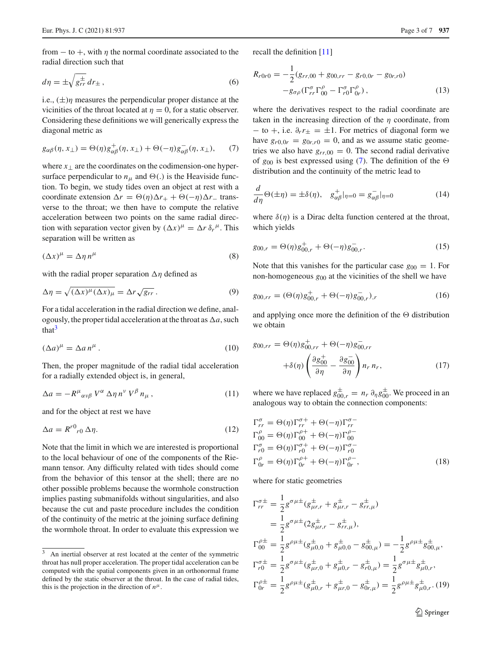from  $-$  to  $+$ , with  $\eta$  the normal coordinate associated to the radial direction such that

$$
d\eta = \pm \sqrt{g_{rr}^{\pm}} dr_{\pm} , \qquad (6)
$$

i.e.,  $(\pm)\eta$  measures the perpendicular proper distance at the vicinities of the throat located at  $\eta = 0$ , for a static observer. Considering these definitions we will generically express the diagonal metric as

<span id="page-2-1"></span>
$$
g_{\alpha\beta}(\eta, x_{\perp}) = \Theta(\eta) g_{\alpha\beta}^{+}(\eta, x_{\perp}) + \Theta(-\eta) g_{\alpha\beta}^{-}(\eta, x_{\perp}), \qquad (7)
$$

where  $x_{\perp}$  are the coordinates on the codimension-one hypersurface perpendicular to  $n_{\mu}$  and  $\Theta(.)$  is the Heaviside function. To begin, we study tides oven an object at rest with a coordinate extension  $\Delta r = \Theta(\eta)\Delta r_+ + \Theta(-\eta)\Delta r_-$  transverse to the throat; we then have to compute the relative acceleration between two points on the same radial direction with separation vector given by  $(\Delta x)^\mu = \Delta r \, \delta_r^\mu$ . This separation will be written as

$$
(\Delta x)^{\mu} = \Delta \eta \, n^{\mu} \tag{8}
$$

with the radial proper separation  $\Delta \eta$  defined as

$$
\Delta \eta = \sqrt{(\Delta x)^{\mu} (\Delta x)_{\mu}} = \Delta r \sqrt{g_{rr}}.
$$
\n(9)

For a tidal acceleration in the radial direction we define, analogously, the proper tidal acceleration at the throat as  $\Delta a$ , such that $3$ 

$$
(\Delta a)^{\mu} = \Delta a \, n^{\mu} \,. \tag{10}
$$

Then, the proper magnitude of the radial tidal acceleration for a radially extended object is, in general,

<span id="page-2-3"></span>
$$
\Delta a = -R^{\mu}{}_{\alpha\nu\beta} V^{\alpha} \Delta \eta \, n^{\nu} V^{\beta} \, n_{\mu} \,, \tag{11}
$$

and for the object at rest we have

<span id="page-2-2"></span>
$$
\Delta a = R^{r0}{}_{r0} \Delta \eta. \tag{12}
$$

Note that the limit in which we are interested is proportional to the local behaviour of one of the components of the Riemann tensor. Any difficulty related with tides should come from the behavior of this tensor at the shell; there are no other possible problems because the wormhole construction implies pasting submanifolds without singularities, and also because the cut and paste procedure includes the condition of the continuity of the metric at the joining surface defining the wormhole throat. In order to evaluate this expression we recall the definition [\[11](#page-6-10)]

<span id="page-2-4"></span>
$$
R_{r0r0} = -\frac{1}{2}(g_{rr,00} + g_{00,rr} - g_{r0,0r} - g_{0r,r0})
$$
  

$$
-g_{\sigma\rho}(\Gamma_{rr}^{\sigma}\Gamma_{00}^{\rho} - \Gamma_{r0}^{\sigma}\Gamma_{0r}^{\rho}),
$$
 (13)

where the derivatives respect to the radial coordinate are taken in the increasing direction of the  $\eta$  coordinate, from  $-$  to  $+$ , i.e.  $\partial_r r_{\pm} = \pm 1$ . For metrics of diagonal form we have  $g_{r0,0r} = g_{0r,r0} = 0$ , and as we assume static geometries we also have  $g_{rr,00} = 0$ . The second radial derivative of  $g_{00}$  is best expressed using [\(7\)](#page-2-1). The definition of the  $\Theta$ distribution and the continuity of the metric lead to

$$
\frac{d}{d\eta}\Theta(\pm\eta) = \pm\delta(\eta), \quad g_{\alpha\beta}^+|_{\eta=0} = g_{\alpha\beta}^-|_{\eta=0}
$$
\n(14)

where  $\delta(\eta)$  is a Dirac delta function centered at the throat, which yields

<span id="page-2-5"></span>
$$
g_{00,r} = \Theta(\eta)g_{00,r}^+ + \Theta(-\eta)g_{00,r}^-.
$$
 (15)

Note that this vanishes for the particular case  $g_{00} = 1$ . For non-homogeneous  $g_{00}$  at the vicinities of the shell we have

$$
g_{00,rr} = (\Theta(\eta)g_{00,r}^+ + \Theta(-\eta)g_{00,r}^-),
$$
\n(16)

and applying once more the definition of the  $\Theta$  distribution we obtain

$$
g_{00,rr} = \Theta(\eta)g_{00,rr}^{+} + \Theta(-\eta)g_{00,rr}^{-}
$$

$$
+ \delta(\eta) \left(\frac{\partial g_{00}^{+}}{\partial \eta} - \frac{\partial g_{00}^{-}}{\partial \eta}\right) n_r n_r, \qquad (17)
$$

where we have replaced  $g_{00,r}^{\pm} = n_r \partial_{\eta} g_{00}^{\pm}$ . We proceed in an analogous way to obtain the connection components:

$$
\Gamma_{rr}^{\sigma} = \Theta(\eta)\Gamma_{rr}^{\sigma+} + \Theta(-\eta)\Gamma_{rr}^{\sigma-}
$$
  
\n
$$
\Gamma_{00}^{\rho} = \Theta(\eta)\Gamma_{00}^{\rho+} + \Theta(-\eta)\Gamma_{00}^{\rho-}
$$
  
\n
$$
\Gamma_{r0}^{\sigma} = \Theta(\eta)\Gamma_{r0}^{\sigma+} + \Theta(-\eta)\Gamma_{r0}^{\sigma-}
$$
  
\n
$$
\Gamma_{0r}^{\rho} = \Theta(\eta)\Gamma_{0r}^{\rho+} + \Theta(-\eta)\Gamma_{0r}^{\rho-},
$$
\n(18)

where for static geometries

$$
\Gamma_{rr}^{\sigma \pm} = \frac{1}{2} g^{\sigma \mu \pm} (g_{\mu r,r}^{\pm} + g_{\mu r,r}^{\pm} - g_{rr,\mu}^{\pm})
$$
  
\n
$$
= \frac{1}{2} g^{\sigma \mu \pm} (2g_{\mu r,r}^{\pm} - g_{rr,\mu}^{\pm}),
$$
  
\n
$$
\Gamma_{00}^{\rho \pm} = \frac{1}{2} g^{\rho \mu \pm} (g_{\mu 0,0}^{\pm} + g_{\mu 0,0}^{\pm} - g_{00,\mu}^{\pm}) = -\frac{1}{2} g^{\rho \mu \pm} g_{00,\mu}^{\pm},
$$
  
\n
$$
\Gamma_{r0}^{\sigma \pm} = \frac{1}{2} g^{\sigma \mu \pm} (g_{\mu r,0}^{\pm} + g_{\mu 0,r}^{\pm} - g_{r0,\mu}^{\pm}) = \frac{1}{2} g^{\sigma \mu \pm} g_{\mu 0,r}^{\pm},
$$
  
\n
$$
\Gamma_{0r}^{\rho \pm} = \frac{1}{2} g^{\rho \mu \pm} (g_{\mu 0,r}^{\pm} + g_{\mu r,0}^{\pm} - g_{0r,\mu}^{\pm}) = \frac{1}{2} g^{\rho \mu \pm} g_{\mu 0,r}^{\pm}. (19)
$$

<sup>2</sup> Springer

<span id="page-2-0"></span><sup>3</sup> An inertial observer at rest located at the center of the symmetric throat has null proper acceleration. The proper tidal acceleration can be computed with the spatial components given in an orthonormal frame defined by the static observer at the throat. In the case of radial tides, this is the projection in the direction of  $n^{\mu}$ .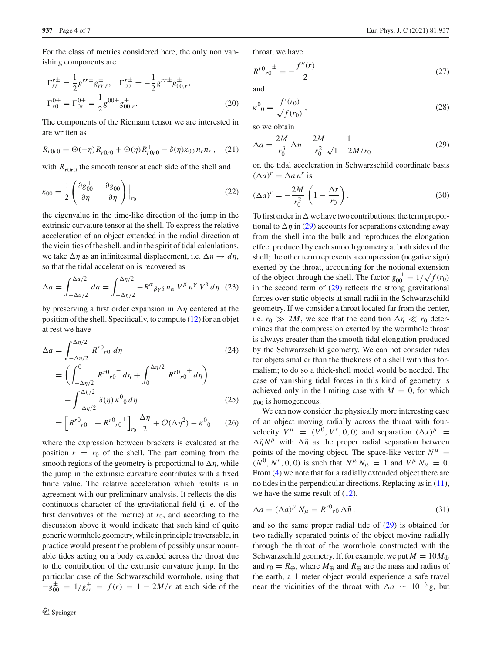For the class of metrics considered here, the only non vanishing components are

$$
\Gamma_{rr}^{r\pm} = \frac{1}{2} g^{rr\pm} g_{rr,r}^{\pm}, \quad \Gamma_{00}^{r\pm} = -\frac{1}{2} g^{rr\pm} g_{00,r}^{\pm},
$$
  
\n
$$
\Gamma_{r0}^{0\pm} = \Gamma_{0r}^{0\pm} = \frac{1}{2} g^{00\pm} g_{00,r}^{\pm}.
$$
\n(20)

The components of the Riemann tensor we are interested in are written as

$$
R_{r0r0} = \Theta(-\eta)R_{r0r0}^- + \Theta(\eta)R_{r0r0}^+ - \delta(\eta)\kappa_{00}n_r n_r \,, \quad (21)
$$

with  $R_{r0r0}^{\pm}$  the smooth tensor at each side of the shell and

$$
\kappa_{00} = \frac{1}{2} \left( \frac{\partial g_{00}^+}{\partial \eta} - \frac{\partial g_{00}^-}{\partial \eta} \right) \Big|_{r_0}
$$
 (22)

the eigenvalue in the time-like direction of the jump in the extrinsic curvature tensor at the shell. To express the relative acceleration of an object extended in the radial direction at the vicinities of the shell, and in the spirit of tidal calculations, we take  $\Delta \eta$  as an infinitesimal displacement, i.e.  $\Delta \eta \rightarrow d\eta$ , so that the tidal acceleration is recovered as

$$
\Delta a = \int_{-\Delta a/2}^{\Delta a/2} da = \int_{-\Delta \eta/2}^{\Delta \eta/2} -R^{\alpha}{}_{\beta \gamma \delta} \, n_{\alpha} \, V^{\beta} \, n^{\gamma} \, V^{\delta} \, d\eta \quad (23)
$$

by preserving a first order expansion in  $\Delta \eta$  centered at the position of the shell. Specifically, to compute [\(12\)](#page-2-2) for an objet at rest we have

$$
\Delta a = \int_{-\Delta \eta/2}^{\Delta \eta/2} R^{r0} r_0 \, d\eta \tag{24}
$$
\n
$$
= \left( \int_{-\Delta \eta/2}^{0} R^{r0} r_0 \, d\eta + \int_{0}^{\Delta \eta/2} R^{r0} r_0 \, d\eta \right)
$$
\n
$$
- \int_{-\Delta \eta/2}^{\Delta \eta/2} \delta(\eta) \, \kappa^0 \, d\eta \tag{25}
$$

$$
= \left[ R^{r0}{}_{r0}{}^{r} + R^{r0}{}_{r0}{}^{+} \right]_{r0} \frac{\Delta \eta}{2} + \mathcal{O}(\Delta \eta^2) - \kappa^0{}_0 \qquad (26)
$$

where the expression between brackets is evaluated at the position  $r = r_0$  of the shell. The part coming from the smooth regions of the geometry is proportional to  $\Delta \eta$ , while the jump in the extrinsic curvature contributes with a fixed finite value. The relative acceleration which results is in agreement with our preliminary analysis. It reflects the discontinuous character of the gravitational field (i. e. of the first derivatives of the metric) at  $r_0$ , and according to the discussion above it would indicate that such kind of quite generic wormhole geometry, while in principle traversable, in practice would present the problem of possibly unsurmountable tides acting on a body extended across the throat due to the contribution of the extrinsic curvature jump. In the particular case of the Schwarzschild wormhole, using that  $-g_{00}^{\pm} = 1/g_{rr}^{\pm} = f(r) = 1 - 2M/r$  at each side of the

throat, we have

$$
R^{r0}{}_{r0}{}^{\pm} = -\frac{f''(r)}{2} \tag{27}
$$

and

$$
\kappa^0{}_0 = \frac{f'(r_0)}{\sqrt{f(r_0)}},\tag{28}
$$

so we obtain

<span id="page-3-0"></span>
$$
\Delta a = \frac{2M}{r_0^3} \Delta \eta - \frac{2M}{r_0^2} \frac{1}{\sqrt{1 - 2M/r_0}}
$$
(29)

or, the tidal acceleration in Schwarzschild coordinate basis  $(\Delta a)^r = \Delta a n^r$  is

$$
(\Delta a)^r = -\frac{2M}{r_0^2} \left(1 - \frac{\Delta r}{r_0}\right). \tag{30}
$$

To first order in  $\Delta$  we have two contributions: the term proportional to  $\Delta \eta$  in [\(29\)](#page-3-0) accounts for separations extending away from the shell into the bulk and reproduces the elongation effect produced by each smooth geometry at both sides of the shell; the other term represents a compression (negative sign) exerted by the throat, accounting for the notional extension of the object through the shell. The factor  $g_{00}^{-1} = 1/\sqrt{f(r_0)}$ in the second term of  $(29)$  reflects the strong gravitational forces over static objects at small radii in the Schwarzschild geometry. If we consider a throat located far from the center, i.e.  $r_0 \gg 2M$ , we see that the condition  $\Delta \eta \ll r_0$  determines that the compression exerted by the wormhole throat is always greater than the smooth tidal elongation produced by the Schwarzschild geometry. We can not consider tides for objets smaller than the thickness of a shell with this formalism; to do so a thick-shell model would be needed. The case of vanishing tidal forces in this kind of geometry is achieved only in the limiting case with  $M = 0$ , for which *g*<sup>00</sup> is homogeneous.

We can now consider the physically more interesting case of an object moving radially across the throat with fourvelocity  $V^{\mu} = (V^0, V^r, 0, 0)$  and separation  $(\Delta x)^{\mu} =$  $\Delta \tilde{\eta} N^{\mu}$  with  $\Delta \tilde{\eta}$  as the proper radial separation between points of the moving object. The space-like vector  $N^{\mu}$  =  $(N^0, N^r, 0, 0)$  is such that  $N^\mu N_\mu = 1$  and  $V^\mu N_\mu = 0$ . From [\(4\)](#page-1-3) we note that for a radially extended object there are no tides in the perpendicular directions. Replacing as in  $(11)$ , we have the same result of [\(12\)](#page-2-2),

$$
\Delta a = (\Delta a)^{\mu} N_{\mu} = R^{r0}{}_{r0} \Delta \tilde{\eta} , \qquad (31)
$$

and so the same proper radial tide of  $(29)$  is obtained for two radially separated points of the object moving radially through the throat of the wormhole constructed with the Schwarzschild geometry. If, for example, we put  $M = 10M_{\oplus}$ and  $r_0 = R_{\oplus}$ , where  $M_{\oplus}$  and  $R_{\oplus}$  are the mass and radius of the earth, a 1 meter object would experience a safe travel near the vicinities of the throat with  $\Delta a \sim 10^{-6}$  g, but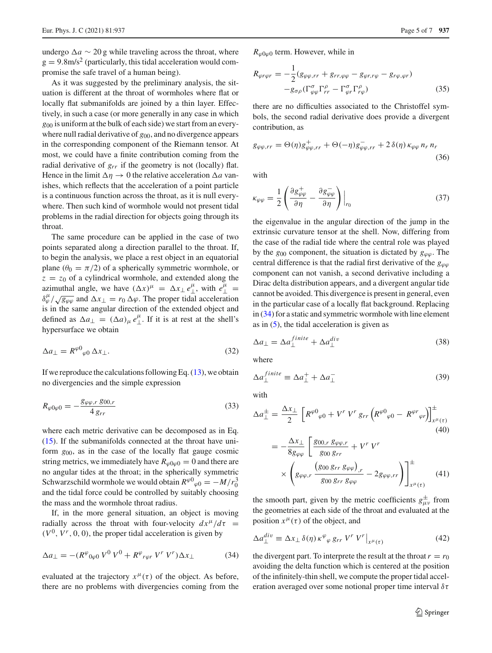undergo  $\Delta a \sim 20$  g while traveling across the throat, where  $g = 9.8$ m/s<sup>2</sup> (particularly, this tidal acceleration would compromise the safe travel of a human being).

As it was suggested by the preliminary analysis, the situation is different at the throat of wormholes where flat or locally flat submanifolds are joined by a thin layer. Effectively, in such a case (or more generally in any case in which *g*<sup>00</sup> is uniform at the bulk of each side) we start from an everywhere null radial derivative of  $g_{00}$ , and no divergence appears in the corresponding component of the Riemann tensor. At most, we could have a finite contribution coming from the radial derivative of  $g_{rr}$  if the geometry is not (locally) flat. Hence in the limit  $\Delta \eta \to 0$  the relative acceleration  $\Delta a$  vanishes, which reflects that the acceleration of a point particle is a continuous function across the throat, as it is null everywhere. Then such kind of wormhole would not present tidal problems in the radial direction for objects going through its throat.

The same procedure can be applied in the case of two points separated along a direction parallel to the throat. If, to begin the analysis, we place a rest object in an equatorial plane ( $\theta_0 = \pi/2$ ) of a spherically symmetric wormhole, or  $z = z_0$  of a cylindrical wormhole, and extended along the azimuthal angle, we have  $(\Delta x)^{\mu} = \Delta x_{\perp} e^{\mu}_{\perp}$ , with  $e^{\mu}_{\perp} =$  $\delta_{\varphi}^{\mu}/\sqrt{g_{\varphi\varphi}}$  and  $\Delta x_{\perp} = r_0 \Delta \varphi$ . The proper tidal acceleration is in the same angular direction of the extended object and defined as  $\Delta a_{\perp} = (\Delta a)_{\mu} e_{\perp}^{\mu}$ . If it is at rest at the shell's hypersurface we obtain

$$
\Delta a_{\perp} = R^{\varphi 0}{}_{\varphi 0} \, \Delta x_{\perp}. \tag{32}
$$

If we reproduce the calculations following Eq.  $(13)$ , we obtain no divergencies and the simple expression

$$
R_{\varphi 0\varphi 0} = -\frac{g_{\varphi\varphi,r} \, g_{00,r}}{4 \, g_{rr}} \tag{33}
$$

where each metric derivative can be decomposed as in Eq. [\(15\)](#page-2-5). If the submanifolds connected at the throat have uniform *g*00, as in the case of the locally flat gauge cosmic string metrics, we immediately have  $R_{\varphi 0\varphi 0} = 0$  and there are no angular tides at the throat; in the spherically symmetric Schwarzschild wormhole we would obtain  $R^{\varphi 0}{}_{\varphi 0} = -M/r_0^3$ and the tidal force could be controlled by suitably choosing the mass and the wormhole throat radius.

If, in the more general situation, an object is moving radially across the throat with four-velocity  $dx^{\mu}/d\tau$  =  $(V^0, V^r, 0, 0)$ , the proper tidal acceleration is given by

<span id="page-4-0"></span>
$$
\Delta a_{\perp} = -(R^{\varphi}{}_{0\varphi 0} V^0 V^0 + R^{\varphi}{}_{r\varphi r} V^r V^r) \Delta x_{\perp}
$$
 (34)

evaluated at the trajectory  $x^{\mu}(\tau)$  of the object. As before, there are no problems with divergencies coming from the  $R_{\omega 0\omega 0}$  term. However, while in

$$
R_{\varphi r\varphi r} = -\frac{1}{2} (g_{\varphi\varphi,rr} + g_{rr,\varphi\varphi} - g_{\varphi r,r\varphi} - g_{r\varphi,\varphi r})
$$

$$
-g_{\sigma\rho} (\Gamma^{\sigma}_{\varphi\varphi} \Gamma^{\rho}_{rr} - \Gamma^{\sigma}_{\varphi r} \Gamma^{\rho}_{r\varphi})
$$
(35)

there are no difficulties associated to the Christoffel symbols, the second radial derivative does provide a divergent contribution, as

$$
g_{\varphi\varphi,rr} = \Theta(\eta)g_{\varphi\varphi,rr}^+ + \Theta(-\eta)g_{\varphi\varphi,rr}^- + 2\,\delta(\eta)\,\kappa_{\varphi\varphi}\,n_r\,n_r\tag{36}
$$

with

$$
\kappa_{\varphi\varphi} = \frac{1}{2} \left( \frac{\partial g_{\varphi\varphi}^{+}}{\partial \eta} - \frac{\partial g_{\varphi\varphi}^{-}}{\partial \eta} \right) \Big|_{r_0}
$$
 (37)

the eigenvalue in the angular direction of the jump in the extrinsic curvature tensor at the shell. Now, differing from the case of the radial tide where the central role was played by the  $g_{00}$  component, the situation is dictated by  $g_{\omega\omega}$ . The central difference is that the radial first derivative of the  $g_{\varphi\varphi}$ component can not vanish, a second derivative including a Dirac delta distribution appears, and a divergent angular tide cannot be avoided. This divergence is present in general, even in the particular case of a locally flat background. Replacing in [\(34\)](#page-4-0) for a static and symmetric wormhole with line element as in  $(5)$ , the tidal acceleration is given as

<span id="page-4-1"></span>
$$
\Delta a_{\perp} = \Delta a_{\perp}^{finite} + \Delta a_{\perp}^{div} \tag{38}
$$

where

<span id="page-4-2"></span>
$$
\Delta a_{\perp}^{finite} \equiv \Delta a_{\perp}^{+} + \Delta a_{\perp}^{-} \tag{39}
$$

with

$$
\Delta a_{\perp}^{\pm} = \frac{\Delta x_{\perp}}{2} \left[ R^{\varphi 0}{}_{\varphi 0} + V^r V^r g_{rr} \left( R^{\varphi 0}{}_{\varphi 0} - R^{\varphi r}{}_{\varphi r} \right) \right]_{x^{\mu}(\tau)}^{\pm}
$$
\n(40)

$$
= -\frac{\Delta x_{\perp}}{8g_{\varphi\varphi}} \left[ \frac{g_{00,r} g_{\varphi\varphi,r}}{g_{00} g_{rr}} + V^r V^r \right] \times \left( g_{\varphi\varphi,r} \frac{\left( g_{00} g_{rr} g_{\varphi\varphi} \right)_r}{g_{00} g_{rr} g_{\varphi\varphi}} - 2g_{\varphi\varphi,rr} \right) \Bigg]_{x^{\mu}(\tau)}^{\pm} \tag{41}
$$

the smooth part, given by the metric coefficients  $g_{\mu\nu}^{\pm}$  from the geometries at each side of the throat and evaluated at the position  $x^{\mu}(\tau)$  of the object, and

<span id="page-4-3"></span>
$$
\Delta a_{\perp}^{div} \equiv \Delta x_{\perp} \,\delta(\eta) \,\kappa^{\varphi}{}_{\varphi} \,grr \,V^r \,V^r \big|_{x^{\mu}(\tau)}\tag{42}
$$

the divergent part. To interprete the result at the throat  $r = r_0$ avoiding the delta function which is centered at the position of the infinitely-thin shell, we compute the proper tidal acceleration averaged over some notional proper time interval  $\delta \tau$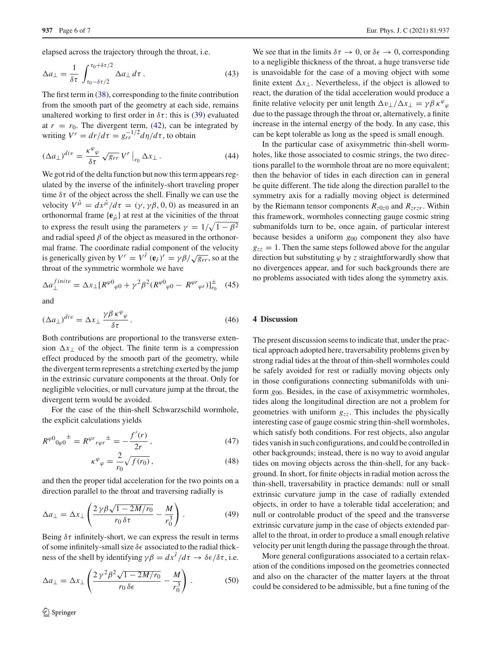elapsed across the trajectory through the throat, i.e.

$$
\Delta a_{\perp} = \frac{1}{\delta \tau} \int_{\tau_0 - \delta \tau/2}^{\tau_0 + \delta \tau/2} \Delta a_{\perp} d\tau \,. \tag{43}
$$

The first term in [\(38\)](#page-4-1), corresponding to the finite contribution from the smooth part of the geometry at each side, remains unaltered working to first order in  $\delta \tau$ : this is [\(39\)](#page-4-2) evaluated at  $r = r_0$ . The divergent term, [\(42\)](#page-4-3), can be integrated by writing  $V^r = dr/d\tau = g_{rr}^{-1/2} d\eta/d\tau$ , to obtain

$$
(\Delta a_{\perp})^{div} = \frac{\kappa^{\varphi}{}_{\varphi}}{\delta \tau} \sqrt{g_{rr}} \, V^r \big|_{r_0} \, \Delta x_{\perp} \,. \tag{44}
$$

We got rid of the delta function but now this term appears regulated by the inverse of the infinitely-short traveling proper time  $\delta\tau$  of the object across the shell. Finally we can use the velocity  $V^{\hat{\mu}} = dx^{\hat{\mu}}/d\tau = (\gamma, \gamma\beta, 0, 0)$  as measured in an orthonormal frame  ${e_{\hat{u}}}$  at rest at the vicinities of the throat to express the result using the parameters  $\gamma = 1/\sqrt{1 - \beta^2}$ and radial speed  $\beta$  of the object as measured in the orthonormal frame. The coordinate radial component of the velocity is generically given by  $V^r = V^{\hat{r}}(\mathbf{e}_{\hat{r}})^r = \gamma \beta / \sqrt{g_{rr}}$ , so at the throat of the symmetric wormhole we have

$$
\Delta a_{\perp}^{finite} = \Delta x_{\perp} [R^{\varphi 0}{}_{\varphi 0} + \gamma^2 \beta^2 (R^{\varphi 0}{}_{\varphi 0} - R^{\varphi r}{}_{\varphi r})]_{r_0}^{\pm} \tag{45}
$$

and

$$
(\Delta a_{\perp})^{div} = \Delta x_{\perp} \frac{\gamma \beta \kappa^{\varphi}_{\varphi}}{\delta \tau}.
$$
\n(46)

Both contributions are proportional to the transverse extension  $\Delta x_{\perp}$  of the object. The finite term is a compression effect produced by the smooth part of the geometry, while the divergent term represents a stretching exerted by the jump in the extrinsic curvature components at the throat. Only for negligible velocities, or null curvature jump at the throat, the divergent term would be avoided.

For the case of the thin-shell Schwarzschild wormhole, the explicit calculations yields

$$
R^{\varphi 0}_{\varphi 0}{}^{\pm} = R^{\varphi r}_{\, r\varphi r}{}^{\pm} = -\frac{f'(r)}{2r},\tag{47}
$$

$$
\kappa^{\varphi}_{\varphi} = \frac{2}{r_0} \sqrt{f(r_0)},\tag{48}
$$

and then the proper tidal acceleration for the two points on a direction parallel to the throat and traversing radially is

<span id="page-5-1"></span>
$$
\Delta a_{\perp} = \Delta x_{\perp} \left( \frac{2 \gamma \beta \sqrt{1 - 2M/r_0}}{r_0 \delta \tau} - \frac{M}{r_0^3} \right). \tag{49}
$$

Being  $\delta\tau$  infinitely-short, we can express the result in terms of some infinitely-small size  $\delta \epsilon$  associated to the radial thickness of the shell by identifying  $\gamma \beta = dx^{\hat{r}}/d\tau \rightarrow \delta \epsilon / \delta \tau$ , i.e.

<span id="page-5-0"></span>
$$
\Delta a_{\perp} = \Delta x_{\perp} \left( \frac{2 \gamma^2 \beta^2 \sqrt{1 - 2M/r_0}}{r_0 \delta \epsilon} - \frac{M}{r_0^3} \right). \tag{50}
$$

We see that in the limits  $\delta \tau \to 0$ , or  $\delta \epsilon \to 0$ , corresponding to a negligible thickness of the throat, a huge transverse tide is unavoidable for the case of a moving object with some finite extent  $\Delta x_{\perp}$ . Nevertheless, if the object is allowed to react, the duration of the tidal acceleration would produce a finite relative velocity per unit length  $\Delta v_{\perp}/\Delta x_{\perp} = \gamma \beta \kappa^{\varphi}_{\varphi}$ due to the passage through the throat or, alternatively, a finite increase in the internal energy of the body. In any case, this can be kept tolerable as long as the speed is small enough.

In the particular case of axisymmetric thin-shell wormholes, like those associated to cosmic strings, the two directions parallel to the wormhole throat are no more equivalent; then the behavior of tides in each direction can in general be quite different. The tide along the direction parallel to the symmetry axis for a radially moving object is determined by the Riemann tensor components  $R_{z0z0}$  and  $R_{zrzr}$ . Within this framework, wormholes connecting gauge cosmic string submanifolds turn to be, once again, of particular interest because besides a uniform *g*<sup>00</sup> component they also have  $g_{zz} = 1$ . Then the same steps followed above for the angular direction but substituting  $\varphi$  by *z* straightforwardly show that no divergences appear, and for such backgrounds there are no problems associated with tides along the symmetry axis.

## **4 Discussion**

The present discussion seems to indicate that, under the practical approach adopted here, traversability problems given by strong radial tides at the throat of thin-shell wormholes could be safely avoided for rest or radially moving objects only in those configurations connecting submanifolds with uniform *g*00. Besides, in the case of axisymmetric wormholes, tides along the longitudinal direction are not a problem for geometries with uniform *gzz*. This includes the physically interesting case of gauge cosmic string thin-shell wormholes, which satisfy both conditions. For rest objects, also angular tides vanish in such configurations, and could be controlled in other backgrounds; instead, there is no way to avoid angular tides on moving objects across the thin-shell, for any background. In short, for finite objects in radial motion across the thin-shell, traversability in practice demands: null or small extrinsic curvature jump in the case of radially extended objects, in order to have a tolerable tidal acceleration; and null or controlable product of the speed and the transverse extrinsic curvature jump in the case of objects extended parallel to the throat, in order to produce a small enough relative velocity per unit length during the passage through the throat.

More general configurations associated to a certain relaxation of the conditions imposed on the geometries connected and also on the character of the matter layers at the throat could be considered to be admissible, but a fine tuning of the